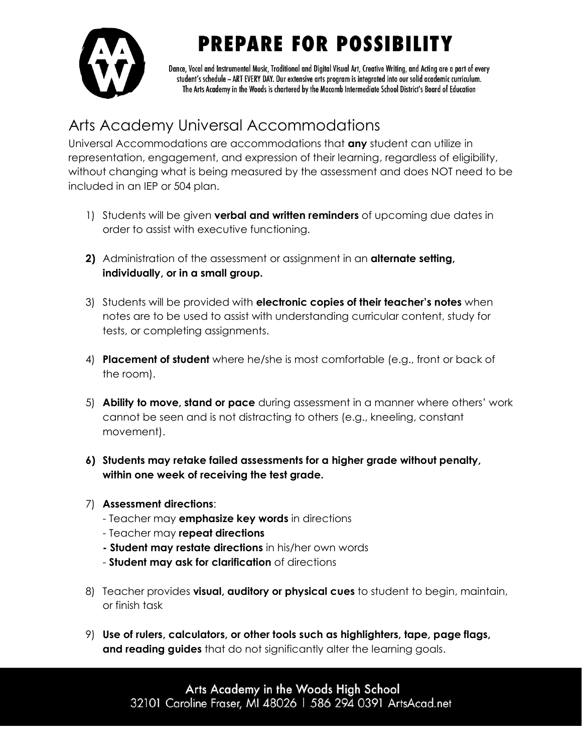**PREPARE FOR POSSIBILITY** 



Dance, Vocal and Instrumental Music, Traditional and Digital Visual Art, Creative Writing, and Acting are a part of every student's schedule - ART EVERY DAY. Our extensive arts program is integrated into our solid academic curriculum. The Arts Academy in the Woods is chartered by the Macomb Intermediate School District's Board of Education

## Arts Academy Universal Accommodations

Universal Accommodations are accommodations that **any** student can utilize in representation, engagement, and expression of their learning, regardless of eligibility, without changing what is being measured by the assessment and does NOT need to be included in an IEP or 504 plan.

- 1) Students will be given **verbal and written reminders** of upcoming due dates in order to assist with executive functioning.
- **2)** Administration of the assessment or assignment in an **alternate setting, individually, or in a small group.**
- 3) Students will be provided with **electronic copies of their teacher's notes** when notes are to be used to assist with understanding curricular content, study for tests, or completing assignments.
- 4) **Placement of student** where he/she is most comfortable (e.g., front or back of the room).
- 5) **Ability to move, stand or pace** during assessment in a manner where others' work cannot be seen and is not distracting to others (e.g., kneeling, constant movement).
- **6) Students may retake failed assessments for a higher grade without penalty, within one week of receiving the test grade.**
- 7) **Assessment directions**:
	- Teacher may **emphasize key words** in directions
	- Teacher may **repeat directions**
	- **- Student may restate directions** in his/her own words
	- **Student may ask for clarification** of directions
- 8) Teacher provides **visual, auditory or physical cues** to student to begin, maintain, or finish task
- 9) **Use of rulers, calculators, or other tools such as highlighters, tape, page flags, and reading guides** that do not significantly alter the learning goals.